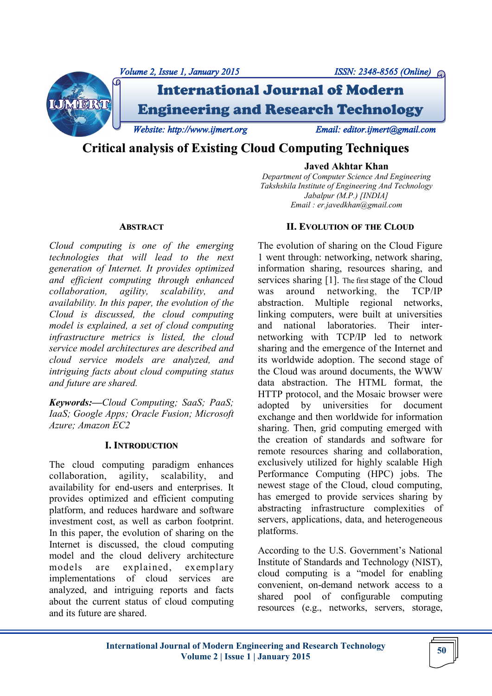

# **Critical analysis of Existing Cloud Computing Techniques**

## **Javed Akhtar Khan**

*Department of Computer Science And Engineering Takshshila Institute of Engineering And Technology Jabalpur (M.P.) [INDIA] Email : er.javedkhan@gmail.com*

#### **ABSTRACT**

*Cloud computing is one of the emerging technologies that will lead to the next generation of Internet. It provides optimized and efficient computing through enhanced collaboration, agility, scalability, and availability. In this paper, the evolution of the Cloud is discussed, the cloud computing model is explained, a set of cloud computing infrastructure metrics is listed, the cloud service model architectures are described and cloud service models are analyzed, and intriguing facts about cloud computing status and future are shared.*

*Keywords:—Cloud Computing; SaaS; PaaS; IaaS; Google Apps; Oracle Fusion; Microsoft Azure; Amazon EC2*

## **I. INTRODUCTION**

The cloud computing paradigm enhances collaboration, agility, scalability, and availability for end-users and enterprises. It provides optimized and efficient computing platform, and reduces hardware and software investment cost, as well as carbon footprint. In this paper, the evolution of sharing on the Internet is discussed, the cloud computing model and the cloud delivery architecture models are explained, exemplary implementations of cloud services are analyzed, and intriguing reports and facts about the current status of cloud computing and its future are shared.

# **II. EVOLUTION OF THE CLOUD**

The evolution of sharing on the Cloud Figure 1 went through: networking, network sharing, information sharing, resources sharing, and services sharing [1]. The first stage of the Cloud was around networking, the TCP/IP abstraction. Multiple regional networks, linking computers, were built at universities and national laboratories. Their internetworking with TCP/IP led to network sharing and the emergence of the Internet and its worldwide adoption. The second stage of the Cloud was around documents, the WWW data abstraction. The HTML format, the HTTP protocol, and the Mosaic browser were adopted by universities for document exchange and then worldwide for information sharing. Then, grid computing emerged with the creation of standards and software for remote resources sharing and collaboration, exclusively utilized for highly scalable High Performance Computing (HPC) jobs. The newest stage of the Cloud, cloud computing, has emerged to provide services sharing by abstracting infrastructure complexities of servers, applications, data, and heterogeneous platforms.

According to the U.S. Government's National Institute of Standards and Technology (NIST), cloud computing is a "model for enabling convenient, on-demand network access to a shared pool of configurable computing resources (e.g., networks, servers, storage,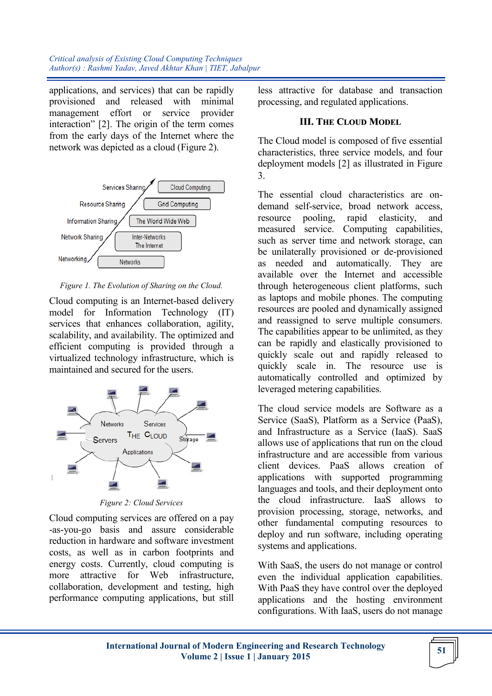applications, and services) that can be rapidly provisioned and released with minimal management effort or service provider interaction" [2]. The origin of the term comes from the early days of the Internet where the network was depicted as a cloud (Figure 2).



*Figure 1. The Evolution of Sharing on the Cloud.*

Cloud computing is an Internet-based delivery model for Information Technology (IT) services that enhances collaboration, agility, scalability, and availability. The optimized and efficient computing is provided through a virtualized technology infrastructure, which is maintained and secured for the users.



*Figure 2: Cloud Services*

Cloud computing services are offered on a pay -as-you-go basis and assure considerable reduction in hardware and software investment costs, as well as in carbon footprints and energy costs. Currently, cloud computing is more attractive for Web infrastructure, collaboration, development and testing, high performance computing applications, but still

less attractive for database and transaction processing, and regulated applications.

#### **III. THE CLOUD MODEL**

The Cloud model is composed of five essential characteristics, three service models, and four deployment models [2] as illustrated in Figure 3.

The essential cloud characteristics are ondemand self-service, broad network access, resource pooling, rapid elasticity, and measured service. Computing capabilities, such as server time and network storage, can be unilaterally provisioned or de-provisioned as needed and automatically. They are available over the Internet and accessible through heterogeneous client platforms, such as laptops and mobile phones. The computing resources are pooled and dynamically assigned and reassigned to serve multiple consumers. The capabilities appear to be unlimited, as they can be rapidly and elastically provisioned to quickly scale out and rapidly released to quickly scale in. The resource use is automatically controlled and optimized by leveraged metering capabilities.

The cloud service models are Software as a Service (SaaS), Platform as a Service (PaaS), and Infrastructure as a Service (IaaS). SaaS allows use of applications that run on the cloud infrastructure and are accessible from various client devices. PaaS allows creation of applications with supported programming languages and tools, and their deployment onto the cloud infrastructure. IaaS allows to provision processing, storage, networks, and other fundamental computing resources to deploy and run software, including operating systems and applications.

With SaaS, the users do not manage or control even the individual application capabilities. With PaaS they have control over the deployed applications and the hosting environment configurations. With IaaS, users do not manage

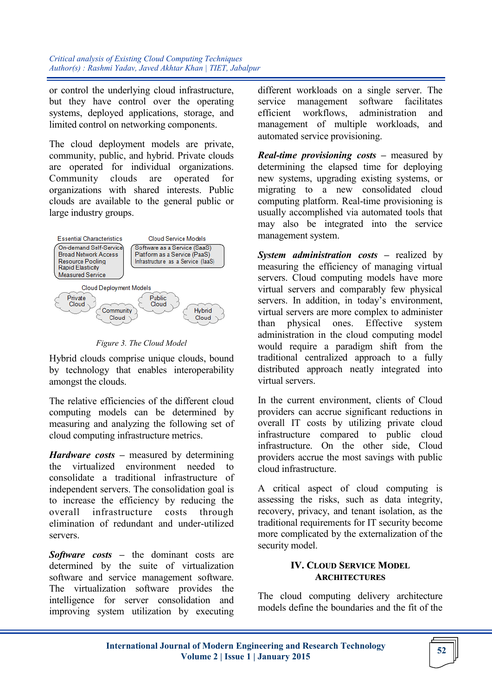or control the underlying cloud infrastructure, but they have control over the operating systems, deployed applications, storage, and limited control on networking components.

The cloud deployment models are private, community, public, and hybrid. Private clouds are operated for individual organizations. Community clouds are operated for organizations with shared interests. Public clouds are available to the general public or large industry groups.



*Figure 3. The Cloud Model*

Hybrid clouds comprise unique clouds, bound by technology that enables interoperability amongst the clouds.

The relative efficiencies of the different cloud computing models can be determined by measuring and analyzing the following set of cloud computing infrastructure metrics.

*Hardware costs –* measured by determining the virtualized environment needed to consolidate a traditional infrastructure of independent servers. The consolidation goal is to increase the efficiency by reducing the overall infrastructure costs through elimination of redundant and under-utilized servers.

*Software costs –* the dominant costs are determined by the suite of virtualization software and service management software. The virtualization software provides the intelligence for server consolidation and improving system utilization by executing

different workloads on a single server. The service management software facilitates efficient workflows, administration and management of multiple workloads, and automated service provisioning.

*Real-time provisioning costs –* measured by determining the elapsed time for deploying new systems, upgrading existing systems, or migrating to a new consolidated cloud computing platform. Real-time provisioning is usually accomplished via automated tools that may also be integrated into the service management system.

*System administration costs –* realized by measuring the efficiency of managing virtual servers. Cloud computing models have more virtual servers and comparably few physical servers. In addition, in today's environment, virtual servers are more complex to administer than physical ones. Effective system administration in the cloud computing model would require a paradigm shift from the traditional centralized approach to a fully distributed approach neatly integrated into virtual servers.

In the current environment, clients of Cloud providers can accrue significant reductions in overall IT costs by utilizing private cloud infrastructure compared to public cloud infrastructure. On the other side, Cloud providers accrue the most savings with public cloud infrastructure.

A critical aspect of cloud computing is assessing the risks, such as data integrity, recovery, privacy, and tenant isolation, as the traditional requirements for IT security become more complicated by the externalization of the security model.

## **IV. CLOUD SERVICE MODEL ARCHITECTURES**

The cloud computing delivery architecture models define the boundaries and the fit of the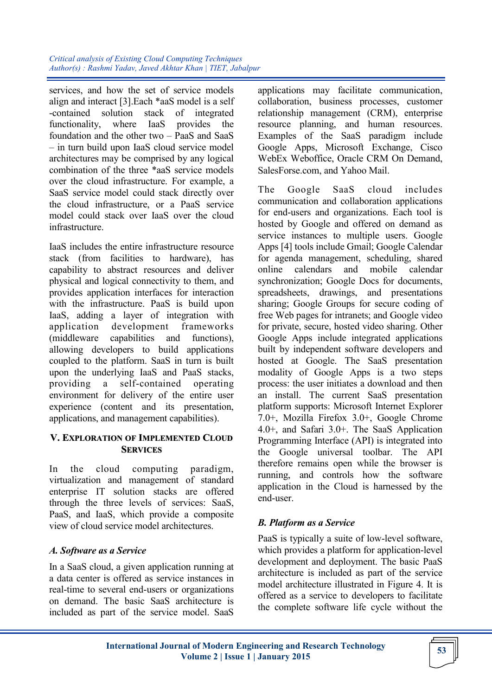services, and how the set of service models align and interact [3].Each \*aaS model is a self -contained solution stack of integrated functionality, where IaaS provides the foundation and the other two – PaaS and SaaS – in turn build upon IaaS cloud service model architectures may be comprised by any logical combination of the three \*aaS service models over the cloud infrastructure. For example, a SaaS service model could stack directly over the cloud infrastructure, or a PaaS service model could stack over IaaS over the cloud infrastructure.

IaaS includes the entire infrastructure resource stack (from facilities to hardware), has capability to abstract resources and deliver physical and logical connectivity to them, and provides application interfaces for interaction with the infrastructure. PaaS is build upon IaaS, adding a layer of integration with application development frameworks (middleware capabilities and functions), allowing developers to build applications coupled to the platform. SaaS in turn is built upon the underlying IaaS and PaaS stacks, providing a self-contained operating environment for delivery of the entire user experience (content and its presentation, applications, and management capabilities).

#### **V. EXPLORATION OF IMPLEMENTED CLOUD SERVICES**

In the cloud computing paradigm, virtualization and management of standard enterprise IT solution stacks are offered through the three levels of services: SaaS, PaaS, and IaaS, which provide a composite view of cloud service model architectures.

## *A. Software as a Service*

In a SaaS cloud, a given application running at a data center is offered as service instances in real-time to several end-users or organizations on demand. The basic SaaS architecture is included as part of the service model. SaaS

applications may facilitate communication, collaboration, business processes, customer relationship management (CRM), enterprise resource planning, and human resources. Examples of the SaaS paradigm include Google Apps, Microsoft Exchange, Cisco WebEx Weboffice, Oracle CRM On Demand, SalesForse.com, and Yahoo Mail.

The Google SaaS cloud includes communication and collaboration applications for end-users and organizations. Each tool is hosted by Google and offered on demand as service instances to multiple users. Google Apps [4] tools include Gmail; Google Calendar for agenda management, scheduling, shared online calendars and mobile calendar synchronization; Google Docs for documents, spreadsheets, drawings, and presentations sharing; Google Groups for secure coding of free Web pages for intranets; and Google video for private, secure, hosted video sharing. Other Google Apps include integrated applications built by independent software developers and hosted at Google. The SaaS presentation modality of Google Apps is a two steps process: the user initiates a download and then an install. The current SaaS presentation platform supports: Microsoft Internet Explorer 7.0+, Mozilla Firefox 3.0+, Google Chrome 4.0+, and Safari 3.0+. The SaaS Application Programming Interface (API) is integrated into the Google universal toolbar. The API therefore remains open while the browser is running, and controls how the software application in the Cloud is harnessed by the end-user.

# *B. Platform as a Service*

PaaS is typically a suite of low-level software, which provides a platform for application-level development and deployment. The basic PaaS architecture is included as part of the service model architecture illustrated in Figure 4. It is offered as a service to developers to facilitate the complete software life cycle without the

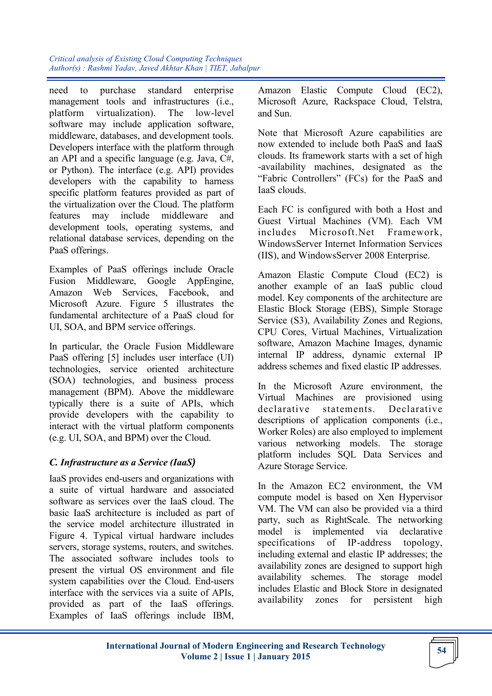need to purchase standard enterprise management tools and infrastructures (i.e., platform virtualization). The low-level software may include application software, middleware, databases, and development tools. Developers interface with the platform through an API and a specific language (e.g. Java, C#, or Python). The interface (e.g. API) provides developers with the capability to harness specific platform features provided as part of the virtualization over the Cloud. The platform features may include middleware and development tools, operating systems, and relational database services, depending on the PaaS offerings.

Examples of PaaS offerings include Oracle Fusion Middleware, Google AppEngine, Amazon Web Services, Facebook, and Microsoft Azure. Figure 5 illustrates the fundamental architecture of a PaaS cloud for UI, SOA, and BPM service offerings.

In particular, the Oracle Fusion Middleware PaaS offering [5] includes user interface (UI) technologies, service oriented architecture (SOA) technologies, and business process management (BPM). Above the middleware typically there is a suite of APIs, which provide developers with the capability to interact with the virtual platform components (e.g. UI, SOA, and BPM) over the Cloud.

# *C. Infrastructure as a Service (IaaS)*

IaaS provides end-users and organizations with a suite of virtual hardware and associated software as services over the IaaS cloud. The basic IaaS architecture is included as part of the service model architecture illustrated in Figure 4. Typical virtual hardware includes servers, storage systems, routers, and switches. The associated software includes tools to present the virtual OS environment and file system capabilities over the Cloud. End-users interface with the services via a suite of APIs, provided as part of the IaaS offerings. Examples of IaaS offerings include IBM, Amazon Elastic Compute Cloud (EC2), Microsoft Azure, Rackspace Cloud, Telstra, and Sun.

Note that Microsoft Azure capabilities are now extended to include both PaaS and IaaS clouds. Its framework starts with a set of high -availability machines, designated as the "Fabric Controllers" (FCs) for the PaaS and IaaS clouds.

Each FC is configured with both a Host and Guest Virtual Machines (VM). Each VM includes Microsoft.Net Framework, WindowsServer Internet Information Services (IIS), and WindowsServer 2008 Enterprise.

Amazon Elastic Compute Cloud (EC2) is another example of an IaaS public cloud model. Key components of the architecture are Elastic Block Storage (EBS), Simple Storage Service (S3), Availability Zones and Regions, CPU Cores, Virtual Machines, Virtualization software, Amazon Machine Images, dynamic internal IP address, dynamic external IP address schemes and fixed elastic IP addresses.

In the Microsoft Azure environment, the Virtual Machines are provisioned using declarative statements. Declarative descriptions of application components (i.e., Worker Roles) are also employed to implement various networking models. The storage platform includes SQL Data Services and Azure Storage Service.

In the Amazon EC2 environment, the VM compute model is based on Xen Hypervisor VM. The VM can also be provided via a third party, such as RightScale. The networking model is implemented via declarative specifications of IP-address topology, including external and elastic IP addresses; the availability zones are designed to support high availability schemes. The storage model includes Elastic and Block Store in designated availability zones for persistent high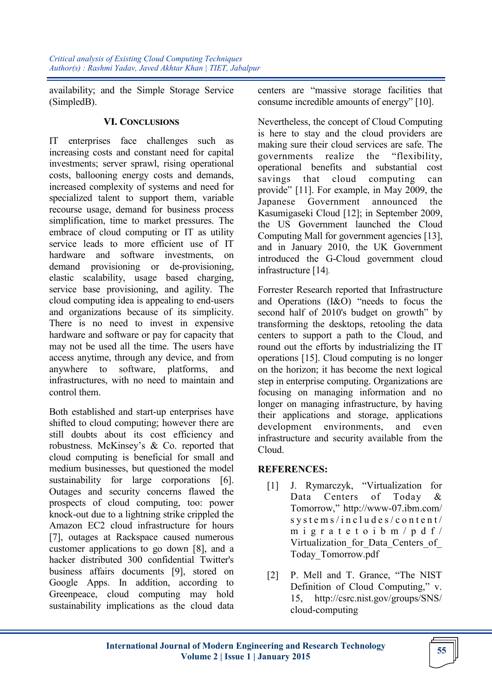availability; and the Simple Storage Service (SimpledB).

# **VI. CONCLUSIONS**

IT enterprises face challenges such as increasing costs and constant need for capital investments; server sprawl, rising operational costs, ballooning energy costs and demands, increased complexity of systems and need for specialized talent to support them, variable recourse usage, demand for business process simplification, time to market pressures. The embrace of cloud computing or IT as utility service leads to more efficient use of IT hardware and software investments, on demand provisioning or de-provisioning, elastic scalability, usage based charging, service base provisioning, and agility. The cloud computing idea is appealing to end-users and organizations because of its simplicity. There is no need to invest in expensive hardware and software or pay for capacity that may not be used all the time. The users have access anytime, through any device, and from anywhere to software, platforms, and infrastructures, with no need to maintain and control them.

Both established and start-up enterprises have shifted to cloud computing; however there are still doubts about its cost efficiency and robustness. McKinsey's & Co. reported that cloud computing is beneficial for small and medium businesses, but questioned the model sustainability for large corporations [6]. Outages and security concerns flawed the prospects of cloud computing, too: power knock-out due to a lightning strike crippled the Amazon EC2 cloud infrastructure for hours [7], outages at Rackspace caused numerous customer applications to go down [8], and a hacker distributed 300 confidential Twitter's business affairs documents [9], stored on Google Apps. In addition, according to Greenpeace, cloud computing may hold sustainability implications as the cloud data centers are "massive storage facilities that consume incredible amounts of energy" [10].

Nevertheless, the concept of Cloud Computing is here to stay and the cloud providers are making sure their cloud services are safe. The governments realize the "flexibility, operational benefits and substantial cost savings that cloud computing can provide" [11]. For example, in May 2009, the Japanese Government announced the Kasumigaseki Cloud [12]; in September 2009, the US Government launched the Cloud Computing Mall for government agencies [13], and in January 2010, the UK Government introduced the G-Cloud government cloud infrastructure [14].

Forrester Research reported that Infrastructure and Operations (I&O) "needs to focus the second half of 2010's budget on growth" by transforming the desktops, retooling the data centers to support a path to the Cloud, and round out the efforts by industrializing the IT operations [15]. Cloud computing is no longer on the horizon; it has become the next logical step in enterprise computing. Organizations are focusing on managing information and no longer on managing infrastructure, by having their applications and storage, applications development environments, and even infrastructure and security available from the Cloud.

# **REFERENCES:**

- [1] J. Rymarczyk, "Virtualization for Data Centers of Today & Tomorrow," http://www-07.ibm.com/  $s$  y s t e m s / i n c l u d e s / c o n t e n t / m i g r a t e t o i b m / p d f / Virtualization for Data Centers of Today\_Tomorrow.pdf
- [2] P. Mell and T. Grance, "The NIST Definition of Cloud Computing," v. 15, http://csrc.nist.gov/groups/SNS/ cloud-computing